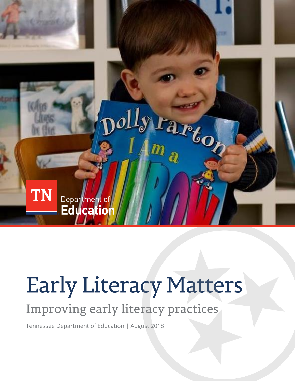

# **Early Literacy Matters**

## Improving early literacy practices

Tennessee Department of Education | August 2018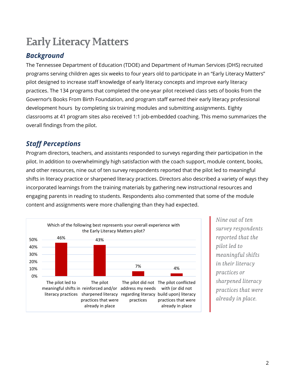### **Early Literacy Matters**

#### *Background*

The Tennessee Department of Education (TDOE) and Department of Human Services (DHS) recruited programs serving children ages six weeks to four years old to participate in an "Early Literacy Matters" pilot designed to increase staff knowledge of early literacy concepts and improve early literacy practices. The 134 programs that completed the one-year pilot received class sets of books from the Governor's Books From Birth Foundation, and program staff earned their early literacy professional development hours by completing six training modules and submitting assignments. Eighty classrooms at 41 program sites also received 1:1 job-embedded coaching. This memo summarizes the overall findings from the pilot.

#### *Staff Perceptions*

Program directors, teachers, and assistants responded to surveys regarding their participation in the pilot. In addition to overwhelmingly high satisfaction with the coach support, module content, books, and other resources, nine out of ten survey respondents reported that the pilot led to meaningful shifts in literacy practice or sharpened literacy practices. Directors also described a variety of ways they incorporated learnings from the training materials by gathering new instructional resources and engaging parents in reading to students. Respondents also commented that some of the module content and assignments were more challenging than they had expected.



Nine out of ten survey respondents reported that the pilot led to meaningful shifts *in their literacy* practices or sharpened literacy practices that were already in place.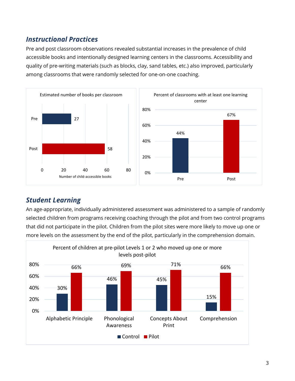#### *Instructional Practices*

Pre and post classroom observations revealed substantial increases in the prevalence of child accessible books and intentionally designed learning centers in the classrooms. Accessibility and quality of pre-writing materials (such as blocks, clay, sand tables, etc.) also improved, particularly among classrooms that were randomly selected for one-on-one coaching.



#### *Student Learning*

An age-appropriate, individually administered assessment was administered to a sample of randomly selected children from programs receiving coaching through the pilot and from two control programs that did not participate in the pilot. Children from the pilot sites were more likely to move up one or more levels on the assessment by the end of the pilot, particularly in the comprehension domain.